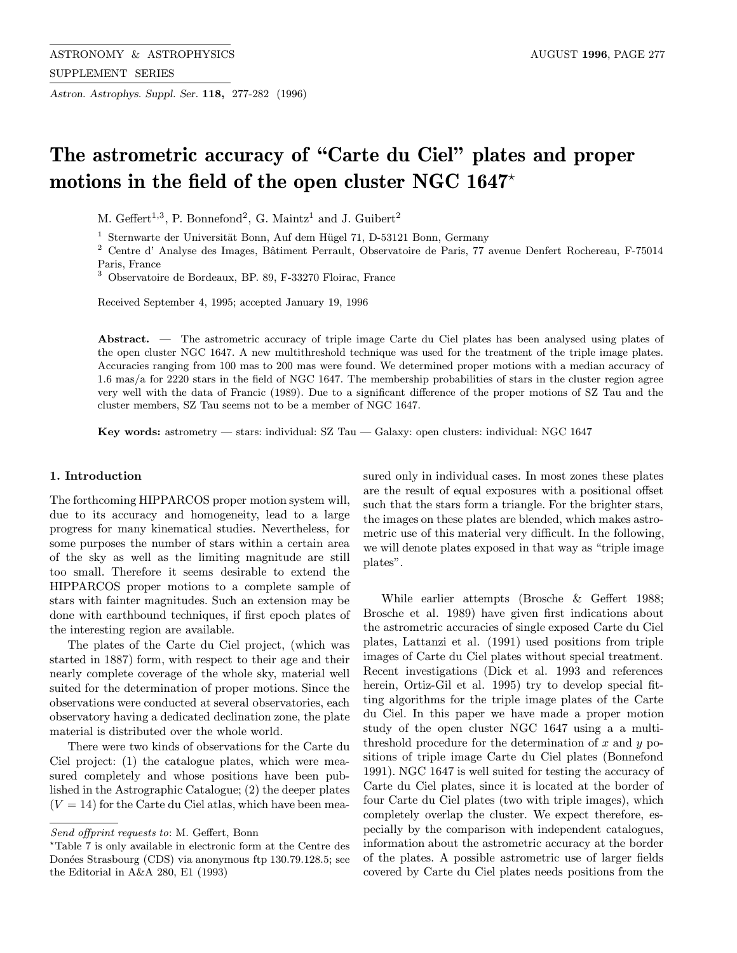Astron. Astrophys. Suppl. Ser. 118, 277-282 (1996)

# The astrometric accuracy of "Carte du Ciel" plates and proper motions in the field of the open cluster NGC 1647 $^{\star}$

M. Geffert<sup>1,3</sup>, P. Bonnefond<sup>2</sup>, G. Maintz<sup>1</sup> and J. Guibert<sup>2</sup>

 $1$  Sternwarte der Universität Bonn, Auf dem Hügel 71, D-53121 Bonn, Germany

<sup>2</sup> Centre d' Analyse des Images, Bâtiment Perrault, Observatoire de Paris, 77 avenue Denfert Rochereau, F-75014 Paris, France

<sup>3</sup> Observatoire de Bordeaux, BP. 89, F-33270 Floirac, France

Received September 4, 1995; accepted January 19, 1996

Abstract. — The astrometric accuracy of triple image Carte du Ciel plates has been analysed using plates of the open cluster NGC 1647. A new multithreshold technique was used for the treatment of the triple image plates. Accuracies ranging from 100 mas to 200 mas were found. We determined proper motions with a median accuracy of 1.6 mas/a for 2220 stars in the field of NGC 1647. The membership probabilities of stars in the cluster region agree very well with the data of Francic (1989). Due to a significant difference of the proper motions of SZ Tau and the cluster members, SZ Tau seems not to be a member of NGC 1647.

Key words: astrometry — stars: individual: SZ Tau — Galaxy: open clusters: individual: NGC 1647

# 1. Introduction

The forthcoming HIPPARCOS proper motion system will, due to its accuracy and homogeneity, lead to a large progress for many kinematical studies. Nevertheless, for some purposes the number of stars within a certain area of the sky as well as the limiting magnitude are still too small. Therefore it seems desirable to extend the HIPPARCOS proper motions to a complete sample of stars with fainter magnitudes. Such an extension may be done with earthbound techniques, if first epoch plates of the interesting region are available.

The plates of the Carte du Ciel project, (which was started in 1887) form, with respect to their age and their nearly complete coverage of the whole sky, material well suited for the determination of proper motions. Since the observations were conducted at several observatories, each observatory having a dedicated declination zone, the plate material is distributed over the whole world.

There were two kinds of observations for the Carte du Ciel project: (1) the catalogue plates, which were measured completely and whose positions have been published in the Astrographic Catalogue; (2) the deeper plates  $(V = 14)$  for the Carte du Ciel atlas, which have been measured only in individual cases. In most zones these plates are the result of equal exposures with a positional offset such that the stars form a triangle. For the brighter stars, the images on these plates are blended, which makes astrometric use of this material very difficult. In the following, we will denote plates exposed in that way as "triple image plates".

While earlier attempts (Brosche & Geffert 1988; Brosche et al. 1989) have given first indications about the astrometric accuracies of single exposed Carte du Ciel plates, Lattanzi et al. (1991) used positions from triple images of Carte du Ciel plates without special treatment. Recent investigations (Dick et al. 1993 and references herein, Ortiz-Gil et al. 1995) try to develop special fitting algorithms for the triple image plates of the Carte du Ciel. In this paper we have made a proper motion study of the open cluster NGC 1647 using a a multithreshold procedure for the determination of x and  $y$  positions of triple image Carte du Ciel plates (Bonnefond 1991). NGC 1647 is well suited for testing the accuracy of Carte du Ciel plates, since it is located at the border of four Carte du Ciel plates (two with triple images), which completely overlap the cluster. We expect therefore, especially by the comparison with independent catalogues, information about the astrometric accuracy at the border of the plates. A possible astrometric use of larger fields covered by Carte du Ciel plates needs positions from the

Send offprint requests to: M. Geffert, Bonn

<sup>?</sup>Table 7 is only available in electronic form at the Centre des Donées Strasbourg (CDS) via anonymous ftp 130.79.128.5; see the Editorial in A&A 280, E1 (1993)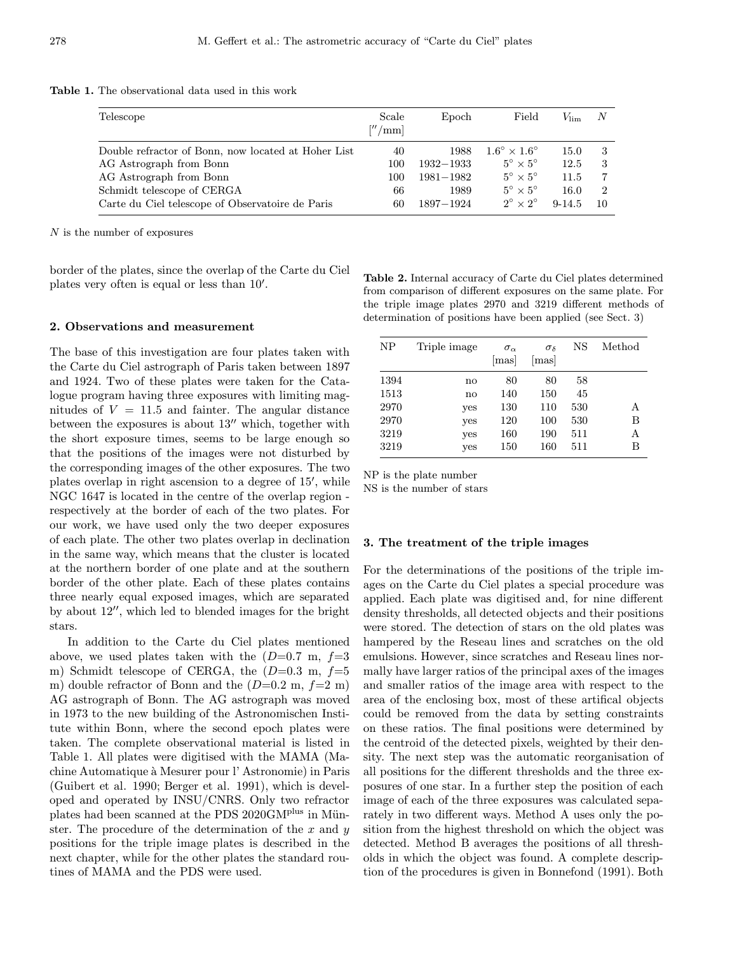Table 1. The observational data used in this work

| Telescope                                           | Scale<br>$\frac{m}{m}$ | Epoch         | Field                            | $V_{\rm lim}$ | N  |
|-----------------------------------------------------|------------------------|---------------|----------------------------------|---------------|----|
| Double refractor of Bonn, now located at Hoher List | 40                     | 1988          | $1.6^{\circ} \times 1.6^{\circ}$ | 15.0          |    |
| AG Astrograph from Bonn                             | 100                    | $1932 - 1933$ | $5^\circ \times 5^\circ$         | 12.5          |    |
| AG Astrograph from Bonn                             | 100                    | $1981 - 1982$ | $5^\circ \times 5^\circ$         | 11.5          |    |
| Schmidt telescope of CERGA                          | 66                     | 1989          | $5^\circ \times 5^\circ$         | 16.0          | 2  |
| Carte du Ciel telescope of Observatoire de Paris    | 60                     | 1897-1924     | $2^{\circ} \times 2^{\circ}$     | $9 - 14.5$    | 10 |

N is the number of exposures

border of the plates, since the overlap of the Carte du Ciel plates very often is equal or less than  $10'$ .

## 2. Observations and measurement

The base of this investigation are four plates taken with the Carte du Ciel astrograph of Paris taken between 1897 and 1924. Two of these plates were taken for the Catalogue program having three exposures with limiting magnitudes of  $V = 11.5$  and fainter. The angular distance between the exposures is about  $13''$  which, together with the short exposure times, seems to be large enough so that the positions of the images were not disturbed by the corresponding images of the other exposures. The two plates overlap in right ascension to a degree of 15', while NGC 1647 is located in the centre of the overlap region respectively at the border of each of the two plates. For our work, we have used only the two deeper exposures of each plate. The other two plates overlap in declination in the same way, which means that the cluster is located at the northern border of one plate and at the southern border of the other plate. Each of these plates contains three nearly equal exposed images, which are separated by about  $12^{\prime\prime}$ , which led to blended images for the bright stars.

In addition to the Carte du Ciel plates mentioned above, we used plates taken with the  $(D=0.7 \text{ m}, f=3$ m) Schmidt telescope of CERGA, the  $(D=0.3 \text{ m}, f=5$ m) double refractor of Bonn and the  $(D=0.2 \text{ m}, f=2 \text{ m})$ AG astrograph of Bonn. The AG astrograph was moved in 1973 to the new building of the Astronomischen Institute within Bonn, where the second epoch plates were taken. The complete observational material is listed in Table 1. All plates were digitised with the MAMA (Machine Automatique `a Mesurer pour l' Astronomie) in Paris (Guibert et al. 1990; Berger et al. 1991), which is developed and operated by INSU/CNRS. Only two refractor plates had been scanned at the PDS 2020GM<sup>plus</sup> in Münster. The procedure of the determination of the x and  $y$ positions for the triple image plates is described in the next chapter, while for the other plates the standard routines of MAMA and the PDS were used.

Table 2. Internal accuracy of Carte du Ciel plates determined from comparison of different exposures on the same plate. For the triple image plates 2970 and 3219 different methods of determination of positions have been applied (see Sect. 3)

| <b>NP</b>                                    | Triple image                                             | $\sigma_{\alpha}$<br> mas             | $\sigma_{\delta}$<br>mas              | NS                                   | Method           |
|----------------------------------------------|----------------------------------------------------------|---------------------------------------|---------------------------------------|--------------------------------------|------------------|
| 1394<br>1513<br>2970<br>2970<br>3219<br>3219 | $\mathbf{n}$<br>$\mathbf{n}$<br>yes<br>yes<br>yes<br>yes | 80<br>140<br>130<br>120<br>160<br>150 | 80<br>150<br>110<br>100<br>190<br>160 | 58<br>45<br>530<br>530<br>511<br>511 | А<br>в<br>А<br>В |

NP is the plate number

NS is the number of stars

#### 3. The treatment of the triple images

For the determinations of the positions of the triple images on the Carte du Ciel plates a special procedure was applied. Each plate was digitised and, for nine different density thresholds, all detected objects and their positions were stored. The detection of stars on the old plates was hampered by the Reseau lines and scratches on the old emulsions. However, since scratches and Reseau lines normally have larger ratios of the principal axes of the images and smaller ratios of the image area with respect to the area of the enclosing box, most of these artifical objects could be removed from the data by setting constraints on these ratios. The final positions were determined by the centroid of the detected pixels, weighted by their density. The next step was the automatic reorganisation of all positions for the different thresholds and the three exposures of one star. In a further step the position of each image of each of the three exposures was calculated separately in two different ways. Method A uses only the position from the highest threshold on which the object was detected. Method B averages the positions of all thresholds in which the object was found. A complete description of the procedures is given in Bonnefond (1991). Both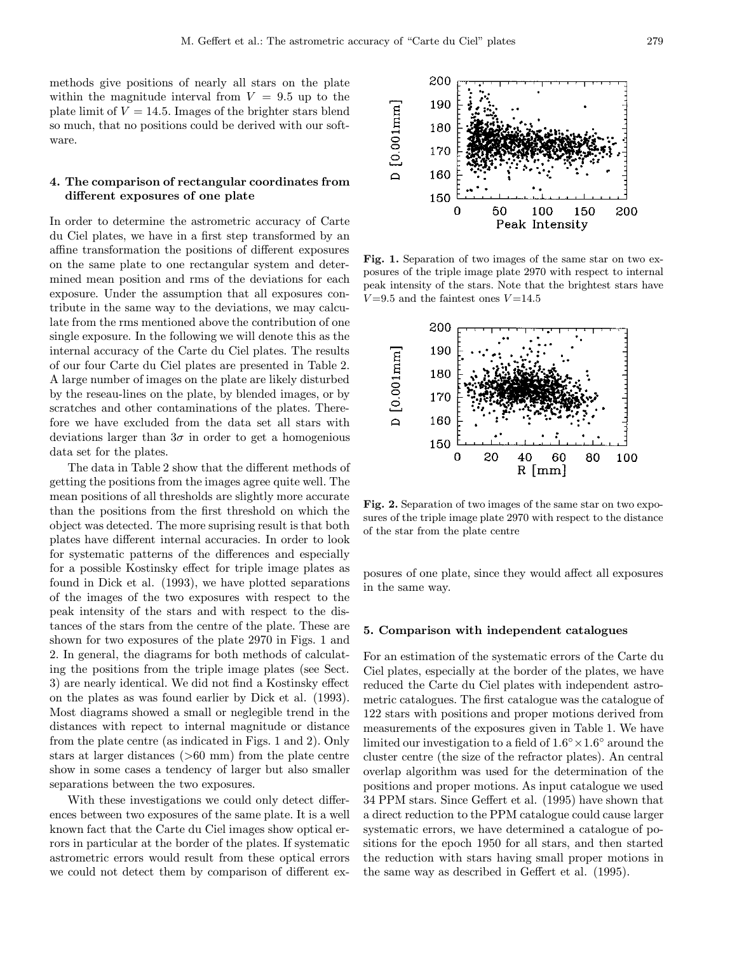200 190

190

180 170

 $D$  [0.001 $mm$ ]

methods give positions of nearly all stars on the plate within the magnitude interval from  $V = 9.5$  up to the plate limit of  $V = 14.5$ . Images of the brighter stars blend so much, that no positions could be derived with our software.

## 4. The comparison of rectangular coordinates from different exposures of one plate

In order to determine the astrometric accuracy of Carte du Ciel plates, we have in a first step transformed by an affine transformation the positions of different exposures on the same plate to one rectangular system and determined mean position and rms of the deviations for each exposure. Under the assumption that all exposures contribute in the same way to the deviations, we may calculate from the rms mentioned above the contribution of one single exposure. In the following we will denote this as the internal accuracy of the Carte du Ciel plates. The results of our four Carte du Ciel plates are presented in Table 2. A large number of images on the plate are likely disturbed by the reseau-lines on the plate, by blended images, or by scratches and other contaminations of the plates. Therefore we have excluded from the data set all stars with deviations larger than  $3\sigma$  in order to get a homogenious data set for the plates.

The data in Table 2 show that the different methods of getting the positions from the images agree quite well. The mean positions of all thresholds are slightly more accurate than the positions from the first threshold on which the object was detected. The more suprising result is that both plates have different internal accuracies. In order to look for systematic patterns of the differences and especially for a possible Kostinsky effect for triple image plates as found in Dick et al. (1993), we have plotted separations of the images of the two exposures with respect to the peak intensity of the stars and with respect to the distances of the stars from the centre of the plate. These are shown for two exposures of the plate 2970 in Figs. 1 and 2. In general, the diagrams for both methods of calculating the positions from the triple image plates (see Sect. 3) are nearly identical. We did not find a Kostinsky effect on the plates as was found earlier by Dick et al. (1993). Most diagrams showed a small or neglegible trend in the distances with repect to internal magnitude or distance from the plate centre (as indicated in Figs. 1 and 2). Only stars at larger distances (>60 mm) from the plate centre show in some cases a tendency of larger but also smaller separations between the two exposures.

With these investigations we could only detect differences between two exposures of the same plate. It is a well known fact that the Carte du Ciel images show optical errors in particular at the border of the plates. If systematic astrometric errors would result from these optical errors we could not detect them by comparison of different ex-

peak intensity of the stars. Note that the brightest stars have  $V = 9.5$  and the faintest ones  $V = 14.5$ 200

Fig. 1. Separation of two images of the same star on two exposures of the triple image plate 2970 with respect to internal

100

Peak Intensity

150

200

50



sures of the triple image plate 2970 with respect to the distance of the star from the plate centre

posures of one plate, since they would affect all exposures in the same way.

## 5. Comparison with independent catalogues

For an estimation of the systematic errors of the Carte du Ciel plates, especially at the border of the plates, we have reduced the Carte du Ciel plates with independent astrometric catalogues. The first catalogue was the catalogue of 122 stars with positions and proper motions derived from measurements of the exposures given in Table 1. We have limited our investigation to a field of  $1.6° \times 1.6°$  around the cluster centre (the size of the refractor plates). An central overlap algorithm was used for the determination of the positions and proper motions. As input catalogue we used 34 PPM stars. Since Geffert et al. (1995) have shown that a direct reduction to the PPM catalogue could cause larger systematic errors, we have determined a catalogue of positions for the epoch 1950 for all stars, and then started the reduction with stars having small proper motions in the same way as described in Geffert et al. (1995).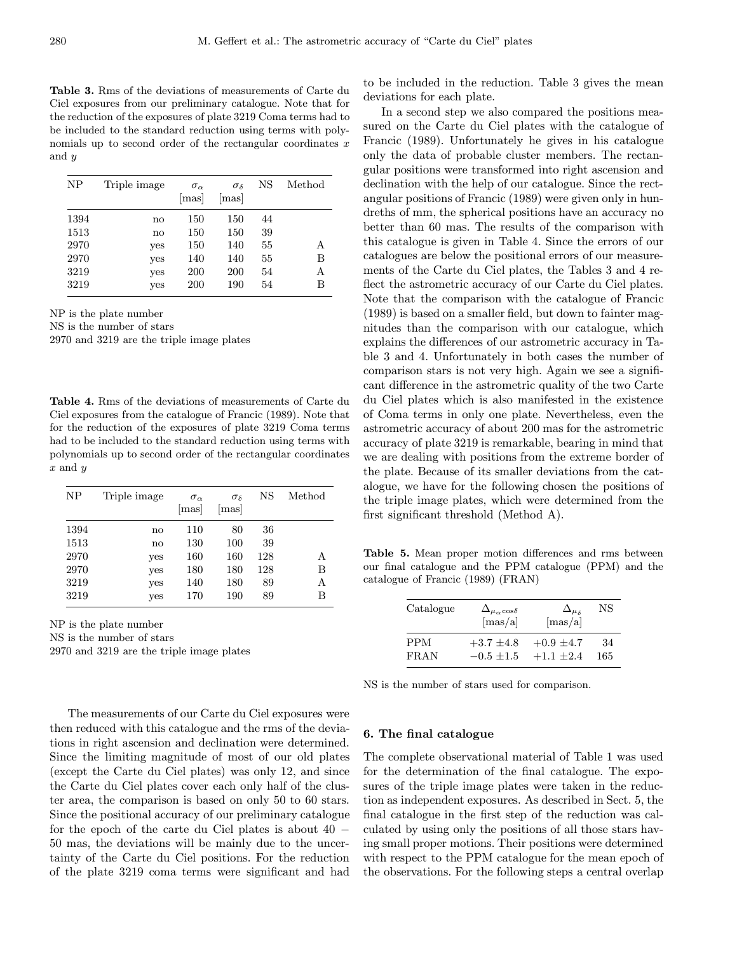Table 3. Rms of the deviations of measurements of Carte du Ciel exposures from our preliminary catalogue. Note that for the reduction of the exposures of plate 3219 Coma terms had to be included to the standard reduction using terms with polynomials up to second order of the rectangular coordinates  $x$ and y

| NΡ                                           | Triple image                         | $\sigma_{\alpha}$<br>$\left[\text{mas}\right]$ | $\sigma_{\delta}$<br>mas               | NS                               | Method           |
|----------------------------------------------|--------------------------------------|------------------------------------------------|----------------------------------------|----------------------------------|------------------|
| 1394<br>1513<br>2970<br>2970<br>3219<br>3219 | no<br>no<br>yes<br>yes<br>yes<br>yes | 150<br>150<br>150<br>140<br>200<br>200         | 150<br>150<br>140<br>140<br>200<br>190 | 44<br>39<br>55<br>55<br>54<br>54 | А<br>В<br>А<br>В |

NP is the plate number

NS is the number of stars

2970 and 3219 are the triple image plates

Table 4. Rms of the deviations of measurements of Carte du Ciel exposures from the catalogue of Francic (1989). Note that for the reduction of the exposures of plate 3219 Coma terms had to be included to the standard reduction using terms with polynomials up to second order of the rectangular coordinates  $x$  and  $y$ 

| <b>NP</b> | Triple image | $\sigma_{\alpha}$<br> mas | $\sigma_{\delta}$<br>mas | NS  | Method |
|-----------|--------------|---------------------------|--------------------------|-----|--------|
| 1394      | $\mathbf{n}$ | 110                       | 80                       | 36  |        |
| 1513      | $\mathbf{n}$ | 130                       | 100                      | 39  |        |
| 2970      | yes          | 160                       | 160                      | 128 | Α      |
| 2970      | yes          | 180                       | 180                      | 128 | в      |
| 3219      | yes          | 140                       | 180                      | 89  | Α      |
| 3219      | yes          | 170                       | 190                      | 89  | В      |

NP is the plate number

NS is the number of stars

2970 and 3219 are the triple image plates

The measurements of our Carte du Ciel exposures were then reduced with this catalogue and the rms of the deviations in right ascension and declination were determined. Since the limiting magnitude of most of our old plates (except the Carte du Ciel plates) was only 12, and since the Carte du Ciel plates cover each only half of the cluster area, the comparison is based on only 50 to 60 stars. Since the positional accuracy of our preliminary catalogue for the epoch of the carte du Ciel plates is about  $40 -$ 50 mas, the deviations will be mainly due to the uncertainty of the Carte du Ciel positions. For the reduction of the plate 3219 coma terms were significant and had

to be included in the reduction. Table 3 gives the mean deviations for each plate.

In a second step we also compared the positions measured on the Carte du Ciel plates with the catalogue of Francic (1989). Unfortunately he gives in his catalogue only the data of probable cluster members. The rectangular positions were transformed into right ascension and declination with the help of our catalogue. Since the rectangular positions of Francic (1989) were given only in hundreths of mm, the spherical positions have an accuracy no better than 60 mas. The results of the comparison with this catalogue is given in Table 4. Since the errors of our catalogues are below the positional errors of our measurements of the Carte du Ciel plates, the Tables 3 and 4 reflect the astrometric accuracy of our Carte du Ciel plates. Note that the comparison with the catalogue of Francic (1989) is based on a smaller field, but down to fainter magnitudes than the comparison with our catalogue, which explains the differences of our astrometric accuracy in Table 3 and 4. Unfortunately in both cases the number of comparison stars is not very high. Again we see a significant difference in the astrometric quality of the two Carte du Ciel plates which is also manifested in the existence of Coma terms in only one plate. Nevertheless, even the astrometric accuracy of about 200 mas for the astrometric accuracy of plate 3219 is remarkable, bearing in mind that we are dealing with positions from the extreme border of the plate. Because of its smaller deviations from the catalogue, we have for the following chosen the positions of the triple image plates, which were determined from the first significant threshold (Method A).

Table 5. Mean proper motion differences and rms between our final catalogue and the PPM catalogue (PPM) and the catalogue of Francic (1989) (FRAN)

| Catalogue   | $\Delta_{\mu_{\alpha} \cos \delta}$<br>$[\text{mas}/\text{a}]$ | $\Delta_{\mu_s}$<br>$[\text{mas}/\text{a}]$ | NS  |
|-------------|----------------------------------------------------------------|---------------------------------------------|-----|
| PPM         | $+3.7 \pm 4.8$                                                 | $+0.9 \pm 4.7$                              | 34  |
| <b>FRAN</b> | $-0.5 + 1.5$                                                   | $+1.1 +2.4$                                 | 165 |

NS is the number of stars used for comparison.

# 6. The final catalogue

The complete observational material of Table 1 was used for the determination of the final catalogue. The exposures of the triple image plates were taken in the reduction as independent exposures. As described in Sect. 5, the final catalogue in the first step of the reduction was calculated by using only the positions of all those stars having small proper motions. Their positions were determined with respect to the PPM catalogue for the mean epoch of the observations. For the following steps a central overlap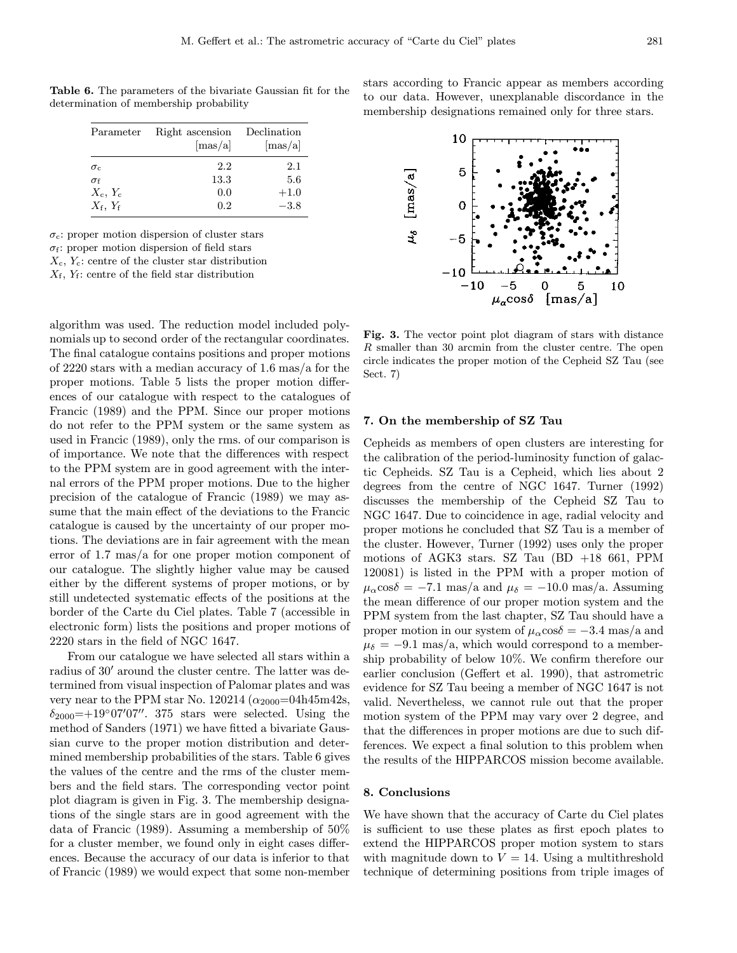|                           | Parameter Right ascension<br>$[\text{mas}/\text{a}]$ | Declination<br>$[\text{mas}/\text{a}]$ |
|---------------------------|------------------------------------------------------|----------------------------------------|
| $\sigma_{c}$              | 2.2                                                  | 2.1                                    |
| $\sigma_{\rm f}$          | 13.3                                                 | 5.6                                    |
| $X_c, Y_c$                | 0.0                                                  | $+1.0$                                 |
| $X_{\rm f}$ , $Y_{\rm f}$ | 0.2                                                  | $-3.8$                                 |

Table 6. The parameters of the bivariate Gaussian fit for the determination of membership probability

 $\sigma_c$ : proper motion dispersion of cluster stars

 $\sigma_f$ : proper motion dispersion of field stars

 $X_c, Y_c$ : centre of the cluster star distribution

 $X_f$ ,  $Y_f$ : centre of the field star distribution

algorithm was used. The reduction model included polynomials up to second order of the rectangular coordinates. The final catalogue contains positions and proper motions of 2220 stars with a median accuracy of 1.6 mas/a for the proper motions. Table 5 lists the proper motion differences of our catalogue with respect to the catalogues of Francic (1989) and the PPM. Since our proper motions do not refer to the PPM system or the same system as used in Francic (1989), only the rms. of our comparison is of importance. We note that the differences with respect to the PPM system are in good agreement with the internal errors of the PPM proper motions. Due to the higher precision of the catalogue of Francic (1989) we may assume that the main effect of the deviations to the Francic catalogue is caused by the uncertainty of our proper motions. The deviations are in fair agreement with the mean error of 1.7 mas/a for one proper motion component of our catalogue. The slightly higher value may be caused either by the different systems of proper motions, or by still undetected systematic effects of the positions at the border of the Carte du Ciel plates. Table 7 (accessible in electronic form) lists the positions and proper motions of 2220 stars in the field of NGC 1647.

From our catalogue we have selected all stars within a radius of 30' around the cluster centre. The latter was determined from visual inspection of Palomar plates and was very near to the PPM star No. 120214 ( $\alpha_{2000}$ =04h45m42s,  $\delta_{2000}$ =+19°07'07". 375 stars were selected. Using the method of Sanders (1971) we have fitted a bivariate Gaussian curve to the proper motion distribution and determined membership probabilities of the stars. Table 6 gives the values of the centre and the rms of the cluster members and the field stars. The corresponding vector point plot diagram is given in Fig. 3. The membership designations of the single stars are in good agreement with the data of Francic (1989). Assuming a membership of 50% for a cluster member, we found only in eight cases differences. Because the accuracy of our data is inferior to that of Francic (1989) we would expect that some non-member

stars according to Francic appear as members according to our data. However, unexplanable discordance in the membership designations remained only for three stars.



Fig. 3. The vector point plot diagram of stars with distance R smaller than 30 arcmin from the cluster centre. The open circle indicates the proper motion of the Cepheid SZ Tau (see Sect. 7)

### 7. On the membership of SZ Tau

Cepheids as members of open clusters are interesting for the calibration of the period-luminosity function of galactic Cepheids. SZ Tau is a Cepheid, which lies about 2 degrees from the centre of NGC 1647. Turner (1992) discusses the membership of the Cepheid SZ Tau to NGC 1647. Due to coincidence in age, radial velocity and proper motions he concluded that SZ Tau is a member of the cluster. However, Turner (1992) uses only the proper motions of AGK3 stars. SZ Tau  $(BD +18 661, PPM)$ 120081) is listed in the PPM with a proper motion of  $\mu_{\alpha}$ cos $\delta = -7.1$  mas/a and  $\mu_{\delta} = -10.0$  mas/a. Assuming the mean difference of our proper motion system and the PPM system from the last chapter, SZ Tau should have a proper motion in our system of  $\mu_{\alpha}$ cos $\delta = -3.4$  mas/a and  $\mu_{\delta} = -9.1$  mas/a, which would correspond to a membership probability of below 10%. We confirm therefore our earlier conclusion (Geffert et al. 1990), that astrometric evidence for SZ Tau beeing a member of NGC 1647 is not valid. Nevertheless, we cannot rule out that the proper motion system of the PPM may vary over 2 degree, and that the differences in proper motions are due to such differences. We expect a final solution to this problem when the results of the HIPPARCOS mission become available.

## 8. Conclusions

We have shown that the accuracy of Carte du Ciel plates is sufficient to use these plates as first epoch plates to extend the HIPPARCOS proper motion system to stars with magnitude down to  $V = 14$ . Using a multithreshold technique of determining positions from triple images of